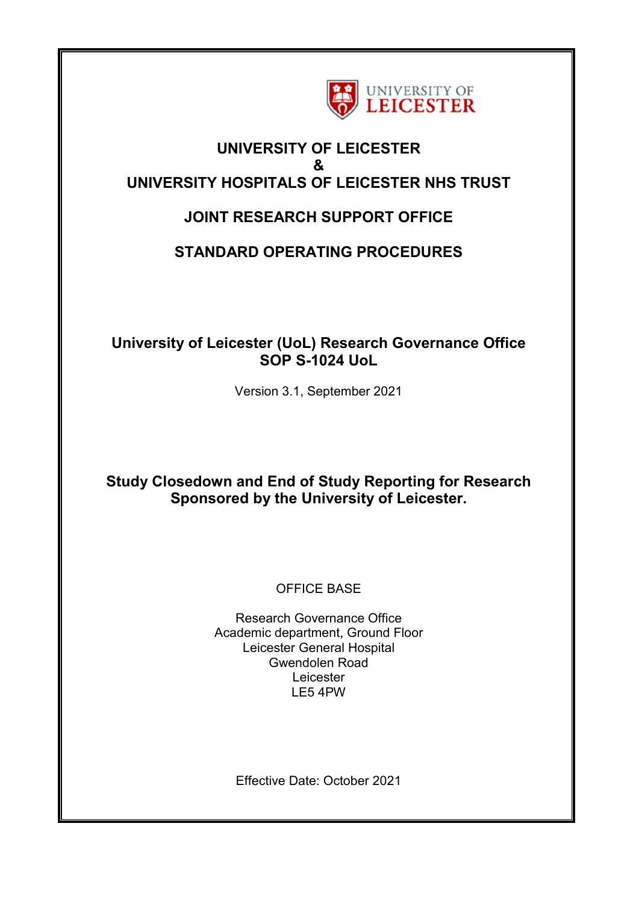

## **UNIVERSITY OF LEICESTER & UNIVERSITY HOSPITALS OF LEICESTER NHS TRUST**

# **JOINT RESEARCH SUPPORT OFFICE**

# **STANDARD OPERATING PROCEDURES**

## **University of Leicester (UoL) Research Governance Office SOP S-1024 UoL**

Version 3.1, September 2021

## **Study Closedown and End of Study Reporting for Research Sponsored by the University of Leicester.**

## OFFICE BASE

Research Governance Office Academic department, Ground Floor Leicester General Hospital Gwendolen Road Leicester LE5 4PW

Effective Date: October 2021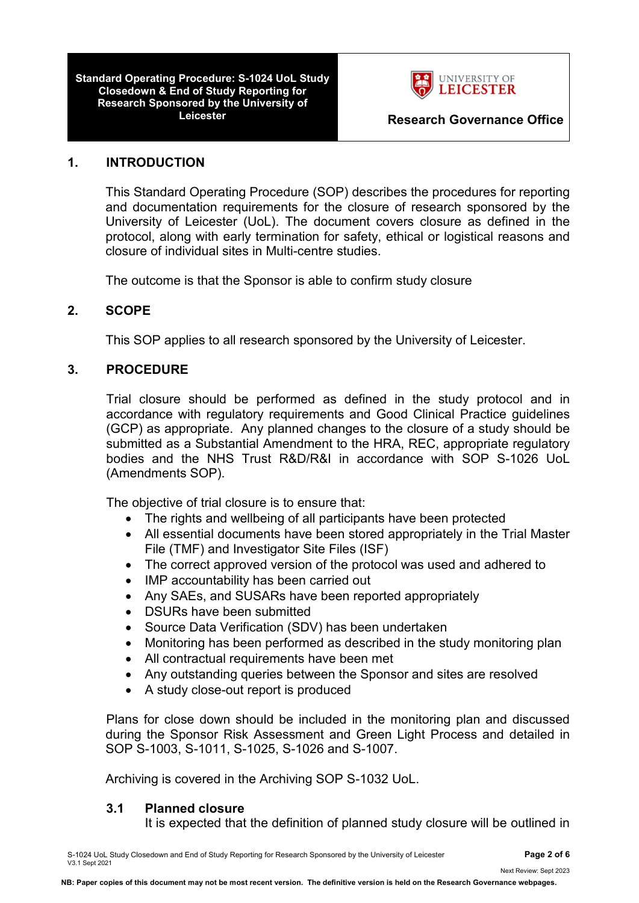**Standard Operating Procedure: S-1024 UoL Study Closedown & End of Study Reporting for Research Sponsored by the University of** 



## **1. INTRODUCTION**

This Standard Operating Procedure (SOP) describes the procedures for reporting and documentation requirements for the closure of research sponsored by the University of Leicester (UoL). The document covers closure as defined in the protocol, along with early termination for safety, ethical or logistical reasons and closure of individual sites in Multi-centre studies.

The outcome is that the Sponsor is able to confirm study closure

## **2. SCOPE**

This SOP applies to all research sponsored by the University of Leicester.

## **3. PROCEDURE**

Trial closure should be performed as defined in the study protocol and in accordance with regulatory requirements and Good Clinical Practice guidelines (GCP) as appropriate. Any planned changes to the closure of a study should be submitted as a Substantial Amendment to the HRA, REC, appropriate regulatory bodies and the NHS Trust R&D/R&I in accordance with SOP S-1026 UoL (Amendments SOP).

The objective of trial closure is to ensure that:

- The rights and wellbeing of all participants have been protected
- All essential documents have been stored appropriately in the Trial Master File (TMF) and Investigator Site Files (ISF)
- The correct approved version of the protocol was used and adhered to
- IMP accountability has been carried out
- Any SAEs, and SUSARs have been reported appropriately
- DSURs have been submitted
- Source Data Verification (SDV) has been undertaken
- Monitoring has been performed as described in the study monitoring plan
- All contractual requirements have been met
- Any outstanding queries between the Sponsor and sites are resolved
- A study close-out report is produced

Plans for close down should be included in the monitoring plan and discussed during the Sponsor Risk Assessment and Green Light Process and detailed in SOP S-1003, S-1011, S-1025, S-1026 and S-1007.

Archiving is covered in the Archiving SOP S-1032 UoL.

## **3.1 Planned closure**

It is expected that the definition of planned study closure will be outlined in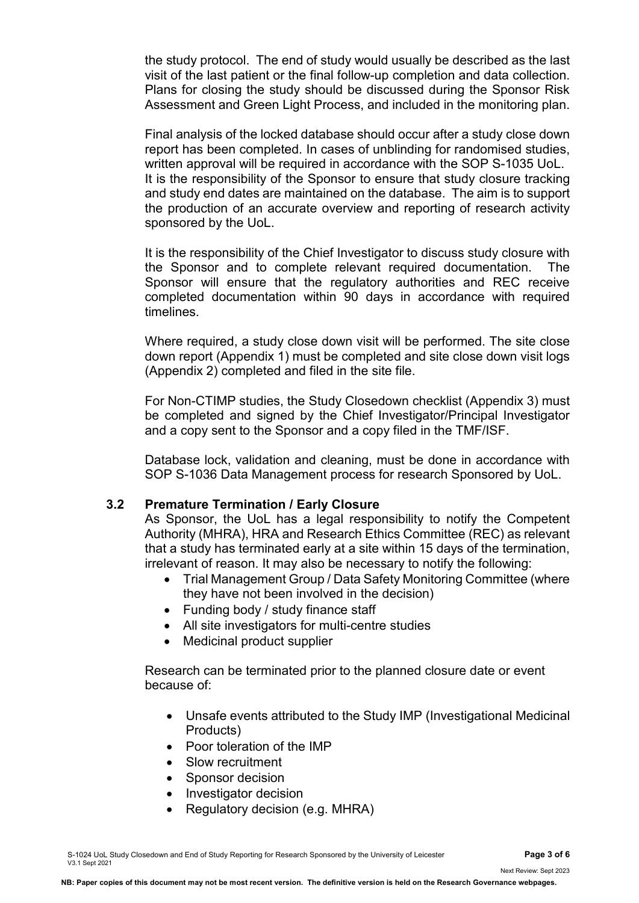the study protocol. The end of study would usually be described as the last visit of the last patient or the final follow-up completion and data collection. Plans for closing the study should be discussed during the Sponsor Risk Assessment and Green Light Process, and included in the monitoring plan.

Final analysis of the locked database should occur after a study close down report has been completed. In cases of unblinding for randomised studies, written approval will be required in accordance with the SOP S-1035 UoL. It is the responsibility of the Sponsor to ensure that study closure tracking and study end dates are maintained on the database. The aim is to support the production of an accurate overview and reporting of research activity sponsored by the UoL.

It is the responsibility of the Chief Investigator to discuss study closure with the Sponsor and to complete relevant required documentation. The Sponsor will ensure that the regulatory authorities and REC receive completed documentation within 90 days in accordance with required timelines.

Where required, a study close down visit will be performed. The site close down report (Appendix 1) must be completed and site close down visit logs (Appendix 2) completed and filed in the site file.

For Non-CTIMP studies, the Study Closedown checklist (Appendix 3) must be completed and signed by the Chief Investigator/Principal Investigator and a copy sent to the Sponsor and a copy filed in the TMF/ISF.

Database lock, validation and cleaning, must be done in accordance with SOP S-1036 Data Management process for research Sponsored by UoL.

### **3.2 Premature Termination / Early Closure**

As Sponsor, the UoL has a legal responsibility to notify the Competent Authority (MHRA), HRA and Research Ethics Committee (REC) as relevant that a study has terminated early at a site within 15 days of the termination, irrelevant of reason. It may also be necessary to notify the following:

- Trial Management Group / Data Safety Monitoring Committee (where they have not been involved in the decision)
- Funding body / study finance staff
- All site investigators for multi-centre studies
- Medicinal product supplier

Research can be terminated prior to the planned closure date or event because of:

- Unsafe events attributed to the Study IMP (Investigational Medicinal Products)
- Poor toleration of the IMP
- Slow recruitment
- Sponsor decision
- Investigator decision
- Regulatory decision (e.g. MHRA)

Next Review: Sept 2023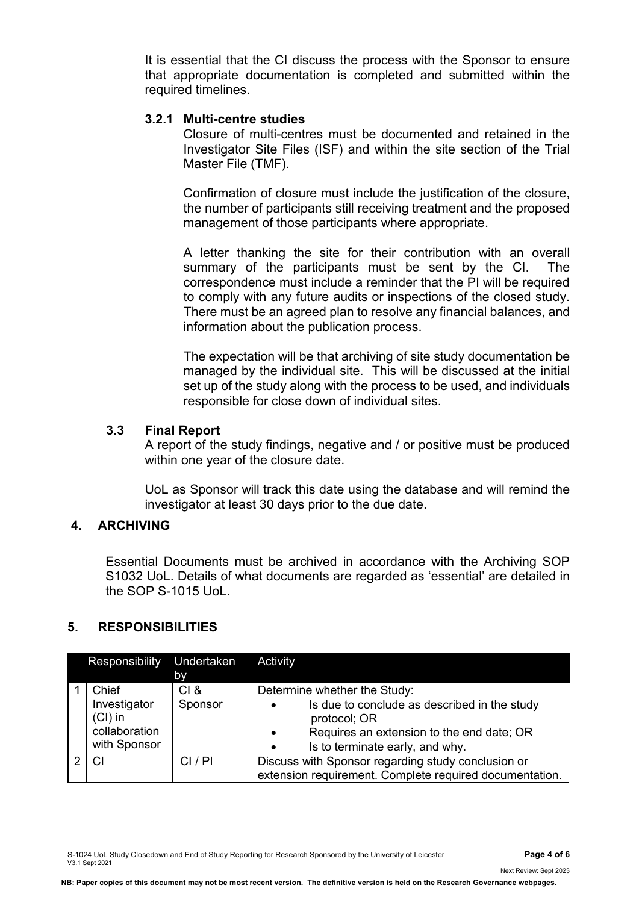It is essential that the CI discuss the process with the Sponsor to ensure that appropriate documentation is completed and submitted within the required timelines.

#### **3.2.1 Multi-centre studies**

Closure of multi-centres must be documented and retained in the Investigator Site Files (ISF) and within the site section of the Trial Master File (TMF).

Confirmation of closure must include the justification of the closure, the number of participants still receiving treatment and the proposed management of those participants where appropriate.

A letter thanking the site for their contribution with an overall summary of the participants must be sent by the CI. The correspondence must include a reminder that the PI will be required to comply with any future audits or inspections of the closed study. There must be an agreed plan to resolve any financial balances, and information about the publication process.

The expectation will be that archiving of site study documentation be managed by the individual site. This will be discussed at the initial set up of the study along with the process to be used, and individuals responsible for close down of individual sites.

#### **3.3 Final Report**

A report of the study findings, negative and / or positive must be produced within one year of the closure date.

UoL as Sponsor will track this date using the database and will remind the investigator at least 30 days prior to the due date.

## **4. ARCHIVING**

Essential Documents must be archived in accordance with the Archiving SOP S1032 UoL. Details of what documents are regarded as 'essential' are detailed in the SOP S-1015 UoL.

### **5. RESPONSIBILITIES**

| Responsibility Undertaken                                           | <b>by</b>       | Activity                                                                                                                                                                                                            |
|---------------------------------------------------------------------|-----------------|---------------------------------------------------------------------------------------------------------------------------------------------------------------------------------------------------------------------|
| Chief<br>Investigator<br>$(Cl)$ in<br>collaboration<br>with Sponsor | CI &<br>Sponsor | Determine whether the Study:<br>Is due to conclude as described in the study<br>$\bullet$<br>protocol; OR<br>Requires an extension to the end date; OR<br>$\bullet$<br>Is to terminate early, and why.<br>$\bullet$ |
| C                                                                   | CI/PI           | Discuss with Sponsor regarding study conclusion or<br>extension requirement. Complete required documentation.                                                                                                       |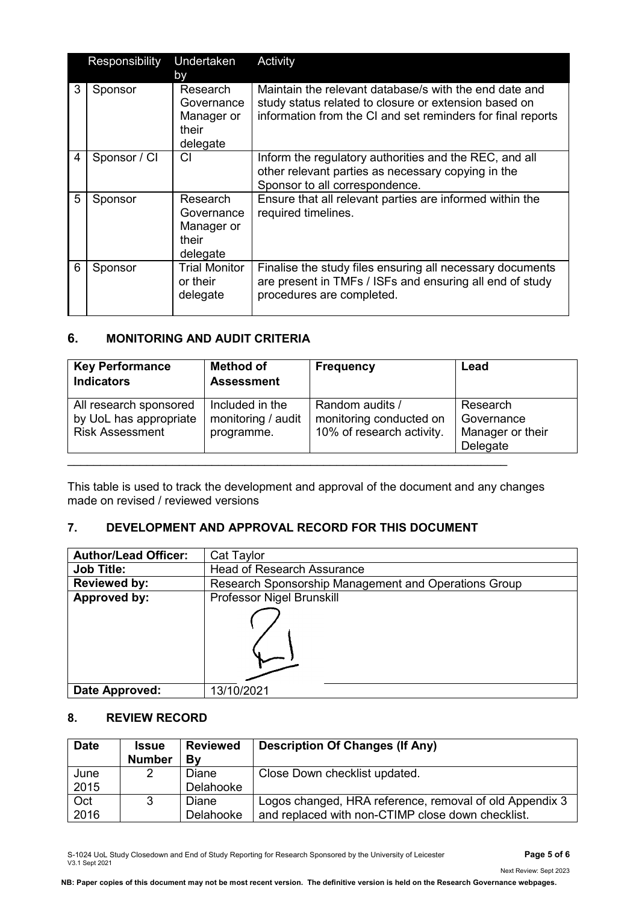|   | Responsibility | Undertaken                                                | Activity                                                                                                                                                                       |
|---|----------------|-----------------------------------------------------------|--------------------------------------------------------------------------------------------------------------------------------------------------------------------------------|
|   |                | <b>by</b>                                                 |                                                                                                                                                                                |
| 3 | Sponsor        | Research<br>Governance<br>Manager or<br>their<br>delegate | Maintain the relevant database/s with the end date and<br>study status related to closure or extension based on<br>information from the CI and set reminders for final reports |
| 4 | Sponsor / CI   | CI                                                        | Inform the regulatory authorities and the REC, and all<br>other relevant parties as necessary copying in the<br>Sponsor to all correspondence.                                 |
| 5 | Sponsor        | Research<br>Governance<br>Manager or<br>their<br>delegate | Ensure that all relevant parties are informed within the<br>required timelines.                                                                                                |
| 6 | Sponsor        | <b>Trial Monitor</b><br>or their<br>delegate              | Finalise the study files ensuring all necessary documents<br>are present in TMFs / ISFs and ensuring all end of study<br>procedures are completed.                             |

### **6. MONITORING AND AUDIT CRITERIA**

| <b>Key Performance</b><br><b>Indicators</b>                                | <b>Method of</b><br><b>Assessment</b>               | <b>Frequency</b>                                                        | Lead                                                   |
|----------------------------------------------------------------------------|-----------------------------------------------------|-------------------------------------------------------------------------|--------------------------------------------------------|
| All research sponsored<br>by UoL has appropriate<br><b>Risk Assessment</b> | Included in the<br>monitoring / audit<br>programme. | Random audits /<br>monitoring conducted on<br>10% of research activity. | Research<br>Governance<br>Manager or their<br>Delegate |

This table is used to track the development and approval of the document and any changes made on revised / reviewed versions

### **7. DEVELOPMENT AND APPROVAL RECORD FOR THIS DOCUMENT**

| <b>Author/Lead Officer:</b> | Cat Taylor                                           |  |  |
|-----------------------------|------------------------------------------------------|--|--|
| <b>Job Title:</b>           | <b>Head of Research Assurance</b>                    |  |  |
| <b>Reviewed by:</b>         | Research Sponsorship Management and Operations Group |  |  |
| Approved by:                | Professor Nigel Brunskill                            |  |  |
|                             |                                                      |  |  |
| Date Approved:              | 13/10/2021                                           |  |  |

#### **8. REVIEW RECORD**

| <b>Date</b> | <b>Issue</b>  | <b>Reviewed</b> | <b>Description Of Changes (If Any)</b>                  |
|-------------|---------------|-----------------|---------------------------------------------------------|
|             | <b>Number</b> | Bv              |                                                         |
| June        | 2             | Diane           | Close Down checklist updated.                           |
| 2015        |               | Delahooke       |                                                         |
| Oct         |               | Diane           | Logos changed, HRA reference, removal of old Appendix 3 |
| 2016        |               | Delahooke       | and replaced with non-CTIMP close down checklist.       |

S-1024 UoL Study Closedown and End of Study Reporting for Research Sponsored by the University of Leicester **Page 5 of 6** V3.1 Sept 2021

**NB: Paper copies of this document may not be most recent version. The definitive version is held on the Research Governance webpages.**